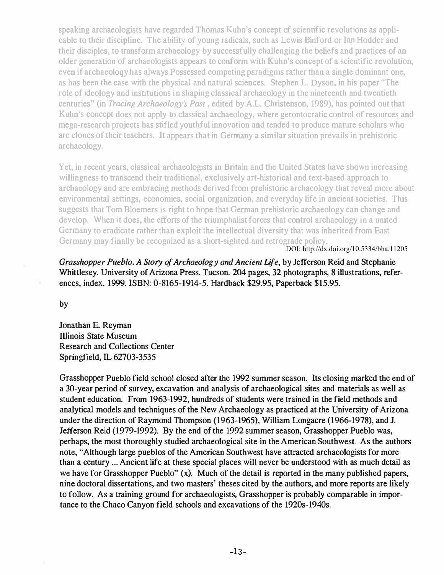speaking archaeologists have regarded Thomas Kuhn's concept of scientific revolutions as applicable to their discipline. The ability of young radicals, such as Lewis Binford or Inn Hodder and their disciples, to transform archaeology by successfully challenging the beliefs and practices of an older generation of archaeologists appears to conform with Kuhn's concept of a scientific revolution, even if archaeoloqy has always Possessed competing paradigms rather than a single dominant one, as has been the case with the physical and natural sciences. Stephen L. Dyson, in his paper ''The role of ideology and institutions in shaping classical archaeology in the nineteenth and twentieth centuries" (in Tracing Archaeology's Past , edited by A.L. Christenson, 1989), has pointed out that Kuhn's concept does not apply to classical archaeology, where gerontocratic control of resources and mega-research projects has stifled youthful innovation and tended to produce mature scholars who are clones of their teachers. It appears that in Germany a similar situation prevails in prehistoric archaeology.

Yet, in recent years, classical archaeologists in Britain and the United States have shown increasing willingness to transcend their traditional, exclusively art-historical and text-based approach to archaeology and are embracing methods derived from prehistoric archaeology that reveal more about environmental settings, economies, social organization, and everyday life in ancient societies. This suggests that Tom Bloemers is right to hope that German prehistoric archaeology can change and develop, When it does, the efforts of the triumphalist forces that control archaeology in a united Germany to eradicate rather than exploit the intellectual diversity that was inherited from East Germany may finally be recognized as a short-sighted and retrograde policy.

DOI: http://dx.doi.org/10.5334/bha.11205

Grasshopper Pueblo. A Story of Archaeology and Ancient Life, by Jefferson Reid and Stephanie Whittlesey. University of Arizona Press, Tucson. 204 pages, 32 photographs, 8 illustrations, references, index. 1999. ISBN: 0-8165-1914-5. Hardback \$29.95, Paperback \$15.95.

by

Jonathan E. Reyman lllinois State Museum Research and Collections Center Springfie1d, IL 62703-3535

Grasshopper Pueblo field school closed after the 1992 summer season. Its closing marked the end of a 30-year period of survey, excavation and analysis of archaeological sites and materials as well as student education. From 1963-1992, hundreds of students were trained in the field methods and analytical models and techniques of the New Archaeology as practiced at the University of Arizona under the direction of Raymond Thompson (1963-1965), William Longacre (1966-1978), and J. Jefferson Reid (1979-1992). By the end of the 1992 summer season, Grasshopper Pueblo was, perhaps, the most thoroughly studied archaeological site in the American Southwest. As the authors note, "Although large pueblos of the American Southwest have attracted archaeologists for more than a century ... Ancient life at these special places will never be understood with as much detail as we have for Grasshopper Pueblo" (x). Much of the detail is reported in the many published papers, nine doctoral dissertations, and two masters' theses cited by the authors, and more reports are likely to follow. As a training ground for archaeologists, Grasshopper is probably comparable in importance to the Chaco Canyon field schools and excavations of the 1920s-194Os.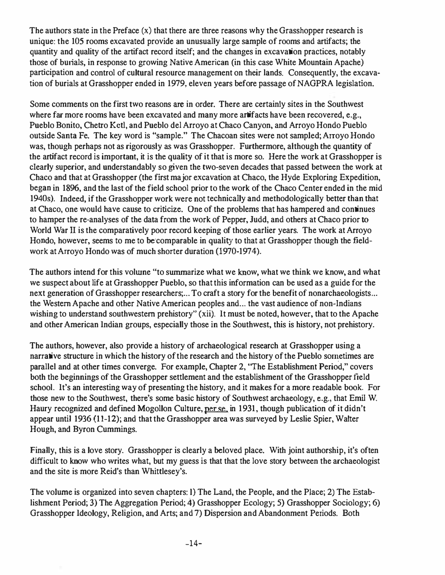The authors state in the Preface (x) that there are three reasons why the Grasshopper research is unique: the 105 rooms excavated provide an unusually large sample of rooms and artifacts; the quantity and quality of the artifact record itself; and the changes in excavation practices, notably those of burials, in response to growing Native American (in this case White Mountain Apache) participation and control of cultural resource management on their lands. Consequently, the excavation of burials at Grasshopper ended in 1979, eleven years before passage of NAGPRA legislation.

Some comments on the first two reasons are in order. There are certainly sites in the Southwest where far more rooms have been excavated and many more artifacts have been recovered, e.g., Pueblo Bonito, Chetro Kctl, and Pueblo del Arroyo at Chaco Canyon, and Arroyo Hondo Pueblo outside Santa Fe. The key word is "sample." The Chacoan sites were not sampled; Arroyo Hondo was, though perhaps not as rigorously as was Grasshopper. Furthermore, although the quantity of the artifact record is important, it is the quality of it that is more so. Here the work at Grasshopper is clearly superior, and understandably so given the two-seven decades that passed between the work at Chaco and that at Grasshopper (the first major excavation at Chaco, the Hyde Exploring Expedition, began in 1896, and the last of the field school prior to the work of the Chaco Center ended in the mid 194Os). Indeed, if the Grasshopper work were not technically and methodologically better than that at Chaco, one would have cause to criticize. One of the problems that has hampered and continues to hamper the re-analyses of the data from the work of Pepper, Judd, and others at Chaco prior to World War 11 is the comparatively poor record keeping of those earlier years. The work at Arroyo Hondo, however, seems to me to be comparable in quality to that at Grasshopper though the fieldwork at Arroyo Hondo was of much shorter duration (1970-1974).

The authors intend for this volume "to summarize what we know, what we think we know, and what we suspect about life at Grasshopper Pueblo, so that this information can be used as a guide for the next generation of Grasshopper researchers:... To craft a story for the benefit of nonarchaeologists... the Western Apache and other Native American peoples and... the vast audience of non-Indians wishing to understand southwestern prehistory" (xii). It must be noted, however, that to the Apache and other American Indian groups, especially those in the Southwest, this is history, not prehistory.

The authors, however, also provide a history of archaeological research at Grasshopper using a narrative structure in which the history of the research and the history of the Pueblo sometimes are parallel and at other times converge. For example, Chapter 2, "The Establishment Period," covers both the beginnings of the Grasshopper settlement and the establishment of the Grasshopper field school. It's an interesting way of presenting the history, and it makes for a more readable book. For those new to the Southwest, there's some basic history of Southwest archaeology, c.g., that Emil W. Haury recognized and defined Mogollon Culture, per se, in 1931, though publication of it didn't appear until 1936 (11-12); and that the Grasshopper area was surveyed by Leslie Spier, Waiter Hough, and Byron Cummings.

Finally, this is a love story. Grasshopper is clearly a beloved place. With joint authorship, it's often difficult to know who writes what, but my guess is that that the love story between the archaeologist and the site is more Reid's than Whittlesey's.

The volume is organized into seven chapters: 1) The Land, the People, and the Place; 2) The Establishment Period; 3) The Aggregation Period; 4) Grasshopper Ecology; 5) Grasshopper Sociology; 6) Grasshopper IdeOlogy, Religion, and Arts; and 7) Dispersion and Abandonment Periods. Both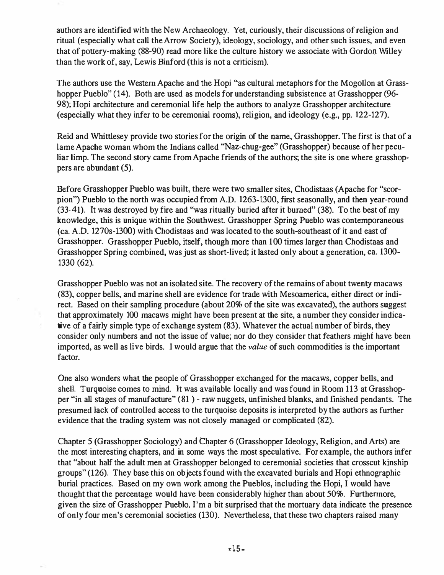authors are identified with the New Archaeology. Yet, curiously, their discussions of religion and ritual (especially what call the Arrow Society), ideology, sociology, and other such issues, and even that of pottery-making (88-90) read more like the culture history we associate with Gordon Willey than the work of, say, Lewis Binford (this is not a criticism).

The authors use the Western Apache and the Hopi "as cultural metaphors for the Mogollon at Grasshopper Pueblo" (14). Both are used as models for understanding subsistence at Grasshopper (96-98); Hopi architecture and ceremonial life help the authors to analyze Grasshopper architecture (especially what they infer to be ceremonial rooms), religion, and ideology (e.g., pp. 122-127).

Reid and Whlttlesey provide two stories for the origin of the name, Grasshopper. The first is that of a lame Apache woman whom the Indians called "Naz-chug-gee" (Grasshopper) because of her peculiar limp. The second story came from Apache friends of the authors; the site is one where grasshoppers are abundant (5).

Before Grasshopper Pueblo was built, there were two smaller sites, Chodistaas (Apache for "scorpion'') Pueblo to the north was occupied from A.D. 1263-1300, first seasonally, and then year-round (33-41). It was destroyed by fire and "was ritually buried after it burned" (38). To the best of my knowledge. this is unique within the Southwest. Grasshopper Spring Pueblo was contemporaneous (ca. A.D. 1270s-1300) with Chodistaas and was located to the south-southeast of it and east of Grasshopper. Grasshopper Pueblo, itself, though more than 100 times larger than Chodistaas and Grasshopper Spring combined, was just as short-lived; it lasted only about a generation, ca. 1300- 1330 (62).

Grasshopper Pueblo was not an isolated site. The recovery of the remains of about twenty macaws (83), copper bells. and marine shell are evidence for trade with Mesoameric� either direct or indirect. Based on their sampling procedure (about 20% of the site was excavated). the authors suggest that approximately 100 macaws might have been present at the site, a number they consider indicative of a fairly simple type of exchange system (83). Whatever the actual number of birds, they consider only numbers and not the issue of value; nor do they consider that feathers might have been imported, as well as live birds. I would argue that the *value* of such commodities is the important factor.

One also wonders what the people of Grasshopper exchanged for the macaws, copper bells, and shell. Turquoise comes to mind. It was available locally and was found in Room 113 at Grasshopper "in all stages of manufacture" (81 ) - raw nuggets, unfinished blanks, and finished pendants. The presumed lack of controlled access to the turquoise deposits is interpreted by the authors as further evidence that the trading system was not closely managed or complicated (82).

Chapter 5 (Grasshopper Sociology) and Chapter 6 (Grasshopper Ideology, Religion, and Arts) are the most interesting chapters, and in some ways the most speculative. For example. the authors infer that "about half the adult men at Grasshopper belonged to ceremonial societies that crosscut kinship groups" (126). They base this on objects found with the excavated burials and Hopi ethnographic burial practices. Based on my own work among the Pueblos, including the Hopi, I would have thought that the percentage would have been considerably higher than about 50%. Furthermore, given the size of Grasshopper Pueblo, I'm a bit surprised that the mortuary data indicate the presence of only four men's ceremonial societies (130). Nevertheless, that these two chapters raised many